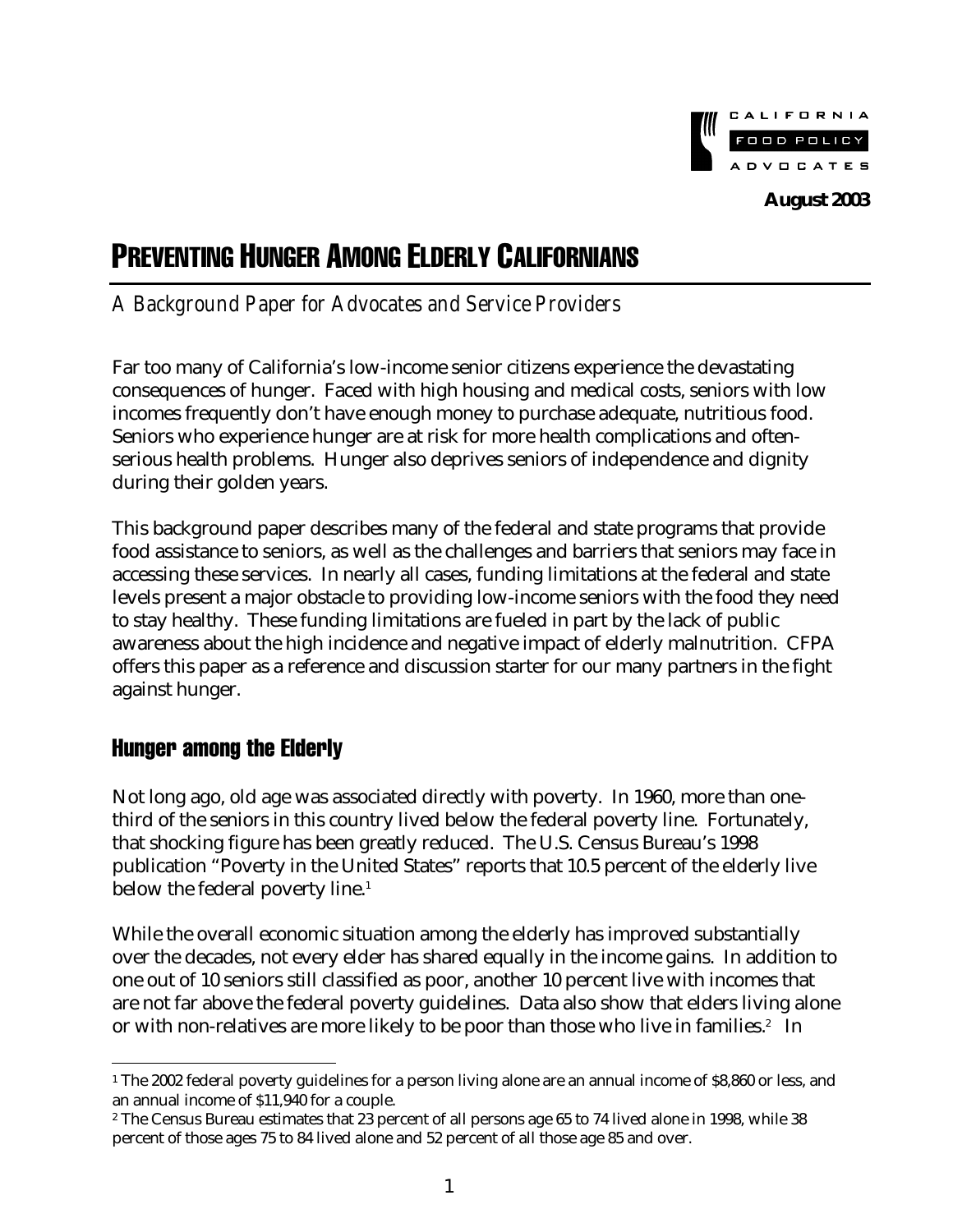

# PREVENTING HUNGER AMONG ELDERLY CALIFORNIANS

# *A Background Paper for Advocates and Service Providers*

Far too many of California's low-income senior citizens experience the devastating consequences of hunger. Faced with high housing and medical costs, seniors with low incomes frequently don't have enough money to purchase adequate, nutritious food. Seniors who experience hunger are at risk for more health complications and oftenserious health problems. Hunger also deprives seniors of independence and dignity during their golden years.

This background paper describes many of the federal and state programs that provide food assistance to seniors, as well as the challenges and barriers that seniors may face in accessing these services. In nearly all cases, funding limitations at the federal and state levels present a major obstacle to providing low-income seniors with the food they need to stay healthy. These funding limitations are fueled in part by the lack of public awareness about the high incidence and negative impact of elderly malnutrition. CFPA offers this paper as a reference and discussion starter for our many partners in the fight against hunger.

# Hunger among the Elderly

 $\overline{a}$ 

Not long ago, old age was associated directly with poverty. In 1960, more than onethird of the seniors in this country lived below the federal poverty line. Fortunately, that shocking figure has been greatly reduced. The U.S. Census Bureau's 1998 publication "Poverty in the United States" reports that 10.5 percent of the elderly live below the federal poverty line.<sup>1</sup>

While the overall economic situation among the elderly has improved substantially over the decades, not every elder has shared equally in the income gains. In addition to one out of 10 seniors still classified as poor, another 10 percent live with incomes that are not far above the federal poverty guidelines. Data also show that elders living alone or with non-relatives are more likely to be poor than those who live in families. $^2$  In

<sup>1</sup> The 2002 federal poverty guidelines for a person living alone are an annual income of \$8,860 or less, and an annual income of \$11,940 for a couple.

<sup>2</sup> The Census Bureau estimates that 23 percent of all persons age 65 to 74 lived alone in 1998, while 38 percent of those ages 75 to 84 lived alone and 52 percent of all those age 85 and over.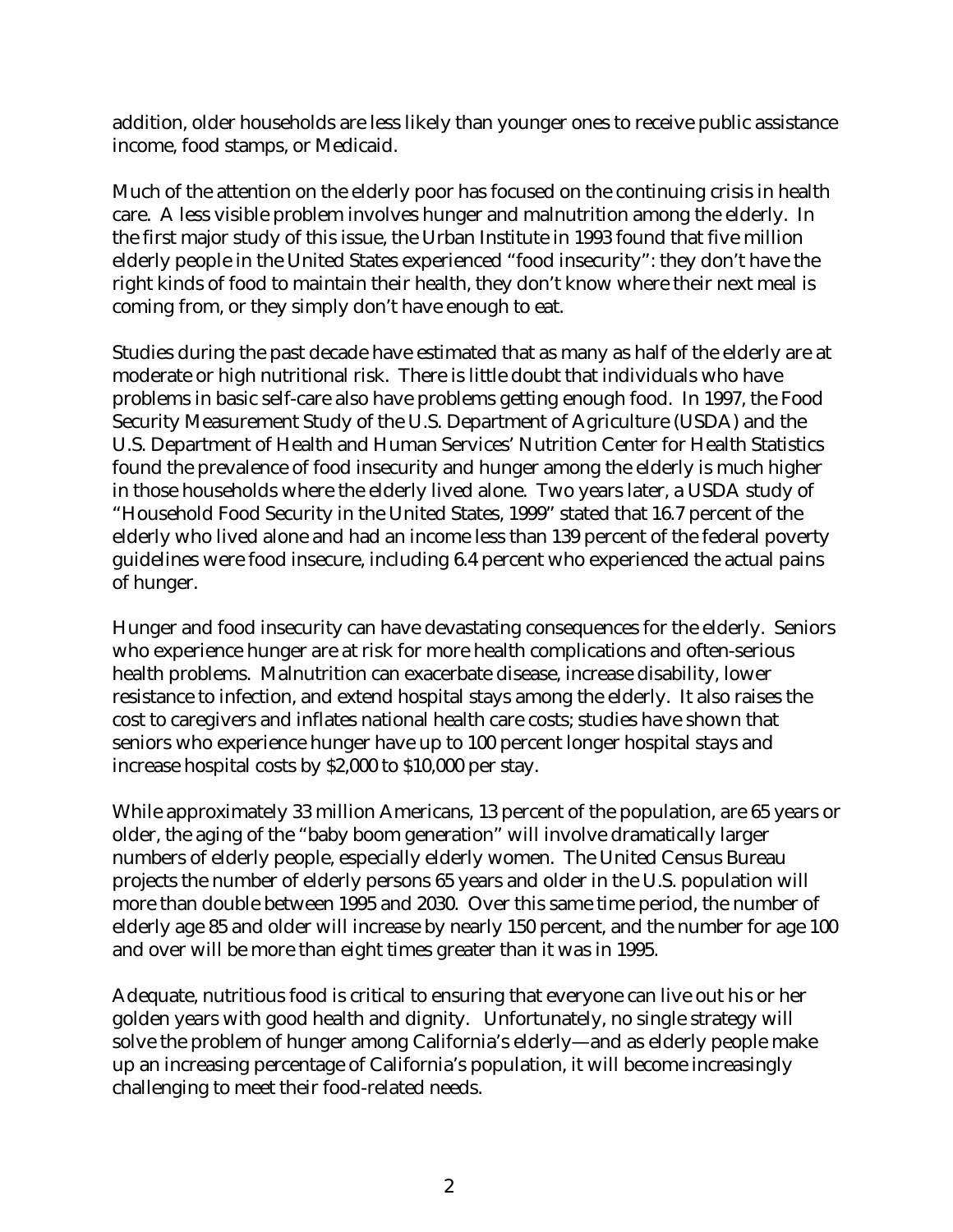addition, older households are less likely than younger ones to receive public assistance income, food stamps, or Medicaid.

Much of the attention on the elderly poor has focused on the continuing crisis in health care. A less visible problem involves hunger and malnutrition among the elderly. In the first major study of this issue, the Urban Institute in 1993 found that five million elderly people in the United States experienced "food insecurity": they don't have the right kinds of food to maintain their health, they don't know where their next meal is coming from, or they simply don't have enough to eat.

Studies during the past decade have estimated that as many as half of the elderly are at moderate or high nutritional risk. There is little doubt that individuals who have problems in basic self-care also have problems getting enough food. In 1997, the Food Security Measurement Study of the U.S. Department of Agriculture (USDA) and the U.S. Department of Health and Human Services' Nutrition Center for Health Statistics found the prevalence of food insecurity and hunger among the elderly is much higher in those households where the elderly lived alone. Two years later, a USDA study of "Household Food Security in the United States, 1999" stated that 16.7 percent of the elderly who lived alone and had an income less than 139 percent of the federal poverty guidelines were food insecure, including 6.4 percent who experienced the actual pains of hunger.

Hunger and food insecurity can have devastating consequences for the elderly. Seniors who experience hunger are at risk for more health complications and often-serious health problems. Malnutrition can exacerbate disease, increase disability, lower resistance to infection, and extend hospital stays among the elderly. It also raises the cost to caregivers and inflates national health care costs; studies have shown that seniors who experience hunger have up to 100 percent longer hospital stays and increase hospital costs by \$2,000 to \$10,000 per stay.

While approximately 33 million Americans, 13 percent of the population, are 65 years or older, the aging of the "baby boom generation" will involve dramatically larger numbers of elderly people, especially elderly women. The United Census Bureau projects the number of elderly persons 65 years and older in the U.S. population will more than double between 1995 and 2030. Over this same time period, the number of elderly age 85 and older will increase by nearly 150 percent, and the number for age 100 and over will be more than eight times greater than it was in 1995.

Adequate, nutritious food is critical to ensuring that everyone can live out his or her golden years with good health and dignity. Unfortunately, no single strategy will solve the problem of hunger among California's elderly—and as elderly people make up an increasing percentage of California's population, it will become increasingly challenging to meet their food-related needs.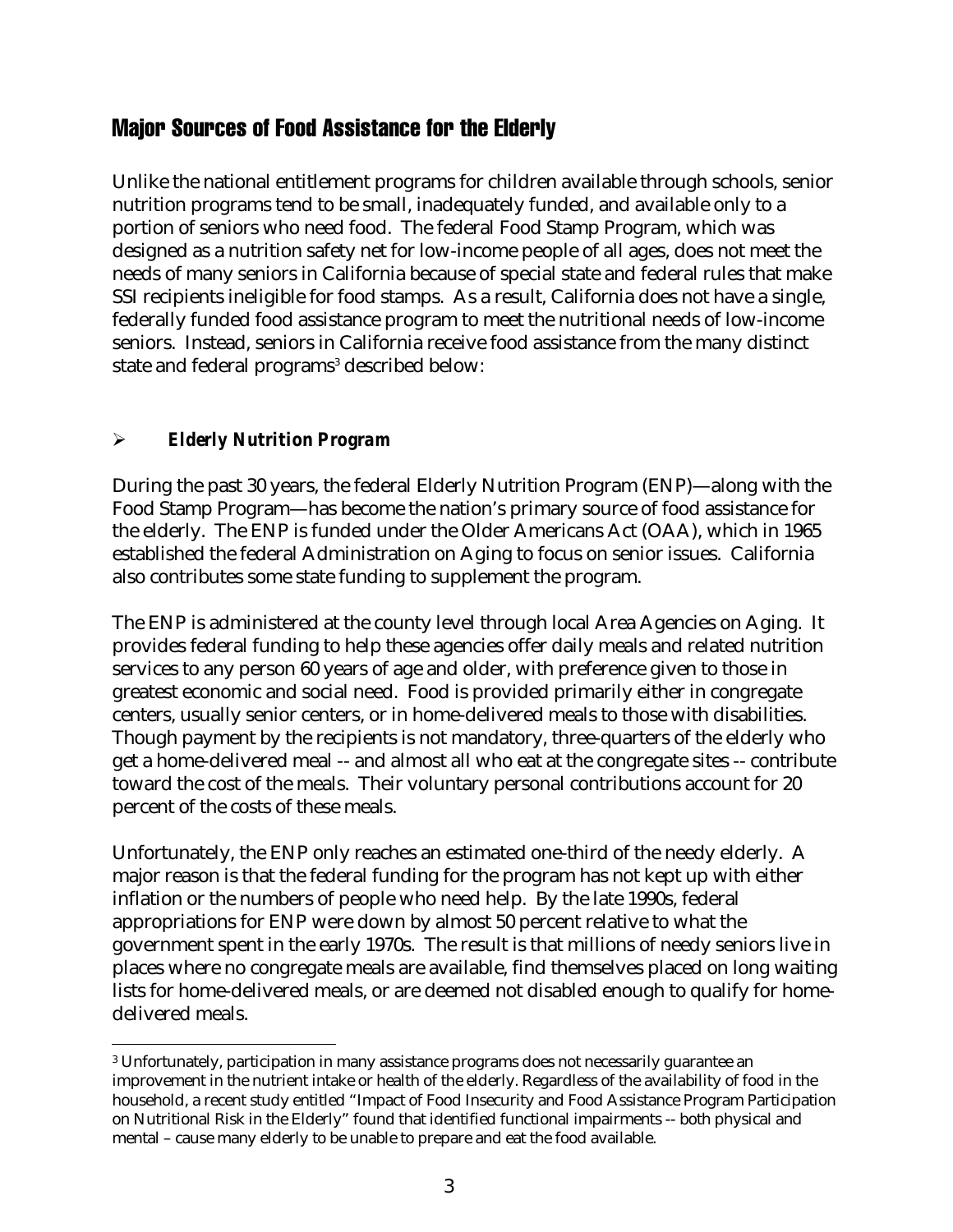# Major Sources of Food Assistance for the Elderly

Unlike the national entitlement programs for children available through schools, senior nutrition programs tend to be small, inadequately funded, and available only to a portion of seniors who need food. The federal Food Stamp Program, which was designed as a nutrition safety net for low-income people of all ages, does not meet the needs of many seniors in California because of special state and federal rules that make SSI recipients ineligible for food stamps. As a result, California does not have a single, federally funded food assistance program to meet the nutritional needs of low-income seniors. Instead, seniors in California receive food assistance from the many distinct state and federal programs<sup>3</sup> described below:

#### !" *Elderly Nutrition Program*

During the past 30 years, the federal Elderly Nutrition Program (ENP)—along with the Food Stamp Program—has become the nation's primary source of food assistance for the elderly. The ENP is funded under the Older Americans Act (OAA), which in 1965 established the federal Administration on Aging to focus on senior issues. California also contributes some state funding to supplement the program.

The ENP is administered at the county level through local Area Agencies on Aging. It provides federal funding to help these agencies offer daily meals and related nutrition services to any person 60 years of age and older, with preference given to those in greatest economic and social need. Food is provided primarily either in congregate centers, usually senior centers, or in home-delivered meals to those with disabilities. Though payment by the recipients is not mandatory, three-quarters of the elderly who get a home-delivered meal -- and almost all who eat at the congregate sites -- contribute toward the cost of the meals. Their voluntary personal contributions account for 20 percent of the costs of these meals.

Unfortunately, the ENP only reaches an estimated one-third of the needy elderly. A major reason is that the federal funding for the program has not kept up with either inflation or the numbers of people who need help. By the late 1990s, federal appropriations for ENP were down by almost 50 percent relative to what the government spent in the early 1970s. The result is that millions of needy seniors live in places where no congregate meals are available, find themselves placed on long waiting lists for home-delivered meals, or are deemed not disabled enough to qualify for homedelivered meals.

 $\overline{a}$ 3 Unfortunately, participation in many assistance programs does not necessarily guarantee an improvement in the nutrient intake or health of the elderly. Regardless of the availability of food in the household, a recent study entitled "Impact of Food Insecurity and Food Assistance Program Participation on Nutritional Risk in the Elderly" found that identified functional impairments -- both physical and mental – cause many elderly to be unable to prepare and eat the food available.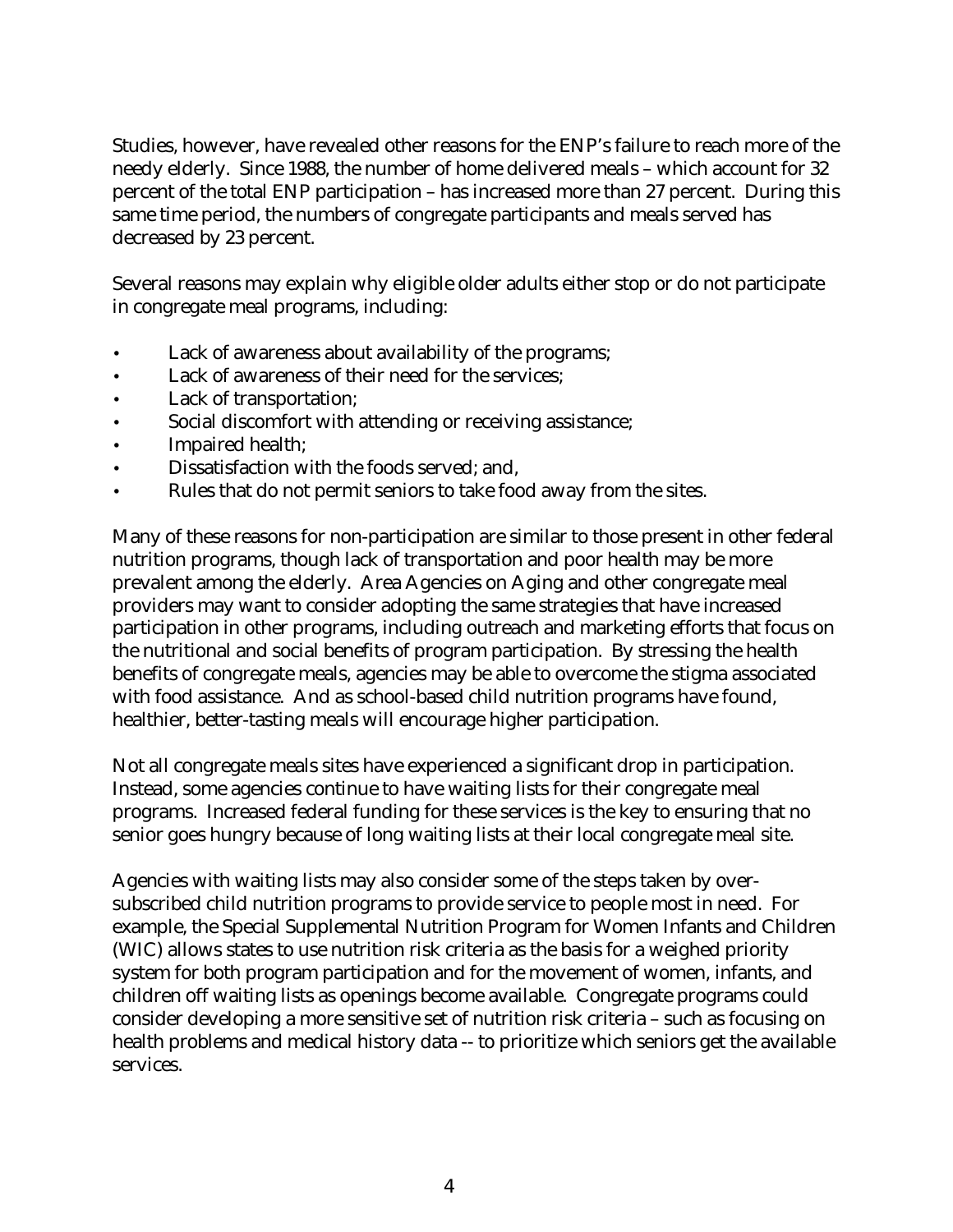Studies, however, have revealed other reasons for the ENP's failure to reach more of the needy elderly. Since 1988, the number of home delivered meals – which account for 32 percent of the total ENP participation – has increased more than 27 percent. During this same time period, the numbers of congregate participants and meals served has decreased by 23 percent.

Several reasons may explain why eligible older adults either stop or do not participate in congregate meal programs, including:

- Lack of awareness about availability of the programs;
- Lack of awareness of their need for the services;
- Lack of transportation;
- Social discomfort with attending or receiving assistance;
- Impaired health;
- Dissatisfaction with the foods served; and,
- Rules that do not permit seniors to take food away from the sites.

Many of these reasons for non-participation are similar to those present in other federal nutrition programs, though lack of transportation and poor health may be more prevalent among the elderly. Area Agencies on Aging and other congregate meal providers may want to consider adopting the same strategies that have increased participation in other programs, including outreach and marketing efforts that focus on the nutritional and social benefits of program participation. By stressing the health benefits of congregate meals, agencies may be able to overcome the stigma associated with food assistance. And as school-based child nutrition programs have found, healthier, better-tasting meals will encourage higher participation.

Not all congregate meals sites have experienced a significant drop in participation. Instead, some agencies continue to have waiting lists for their congregate meal programs. Increased federal funding for these services is the key to ensuring that no senior goes hungry because of long waiting lists at their local congregate meal site.

Agencies with waiting lists may also consider some of the steps taken by oversubscribed child nutrition programs to provide service to people most in need. For example, the Special Supplemental Nutrition Program for Women Infants and Children (WIC) allows states to use nutrition risk criteria as the basis for a weighed priority system for both program participation and for the movement of women, infants, and children off waiting lists as openings become available. Congregate programs could consider developing a more sensitive set of nutrition risk criteria – such as focusing on health problems and medical history data -- to prioritize which seniors get the available services.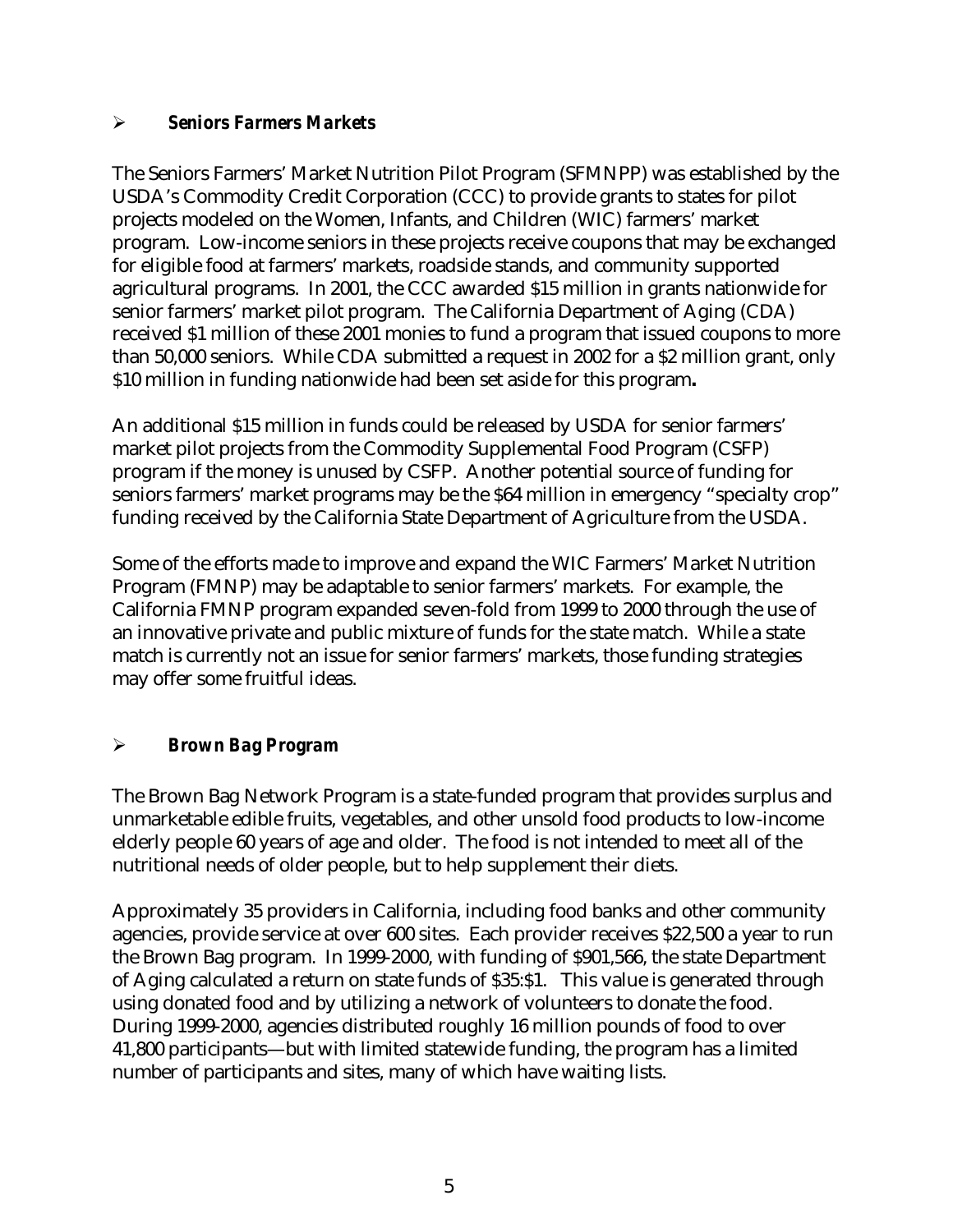#### !" *Seniors Farmers Markets*

The Seniors Farmers' Market Nutrition Pilot Program (SFMNPP) was established by the USDA's Commodity Credit Corporation (CCC) to provide grants to states for pilot projects modeled on the Women, Infants, and Children (WIC) farmers' market program. Low-income seniors in these projects receive coupons that may be exchanged for eligible food at farmers' markets, roadside stands, and community supported agricultural programs. In 2001, the CCC awarded \$15 million in grants nationwide for senior farmers' market pilot program. The California Department of Aging (CDA) received \$1 million of these 2001 monies to fund a program that issued coupons to more than 50,000 seniors. While CDA submitted a request in 2002 for a \$2 million grant, only \$10 million in funding nationwide had been set aside for this program**.**

An additional \$15 million in funds could be released by USDA for senior farmers' market pilot projects from the Commodity Supplemental Food Program (CSFP) program if the money is unused by CSFP. Another potential source of funding for seniors farmers' market programs may be the \$64 million in emergency "specialty crop" funding received by the California State Department of Agriculture from the USDA.

Some of the efforts made to improve and expand the WIC Farmers' Market Nutrition Program (FMNP) may be adaptable to senior farmers' markets. For example, the California FMNP program expanded seven-fold from 1999 to 2000 through the use of an innovative private and public mixture of funds for the state match. While a state match is currently not an issue for senior farmers' markets, those funding strategies may offer some fruitful ideas.

#### !" *Brown Bag Program*

The Brown Bag Network Program is a state-funded program that provides surplus and unmarketable edible fruits, vegetables, and other unsold food products to low-income elderly people 60 years of age and older. The food is not intended to meet all of the nutritional needs of older people, but to help supplement their diets.

Approximately 35 providers in California, including food banks and other community agencies, provide service at over 600 sites. Each provider receives \$22,500 a year to run the Brown Bag program. In 1999-2000, with funding of \$901,566, the state Department of Aging calculated a return on state funds of \$35:\$1. This value is generated through using donated food and by utilizing a network of volunteers to donate the food. During 1999-2000, agencies distributed roughly 16 million pounds of food to over 41,800 participants—but with limited statewide funding, the program has a limited number of participants and sites, many of which have waiting lists.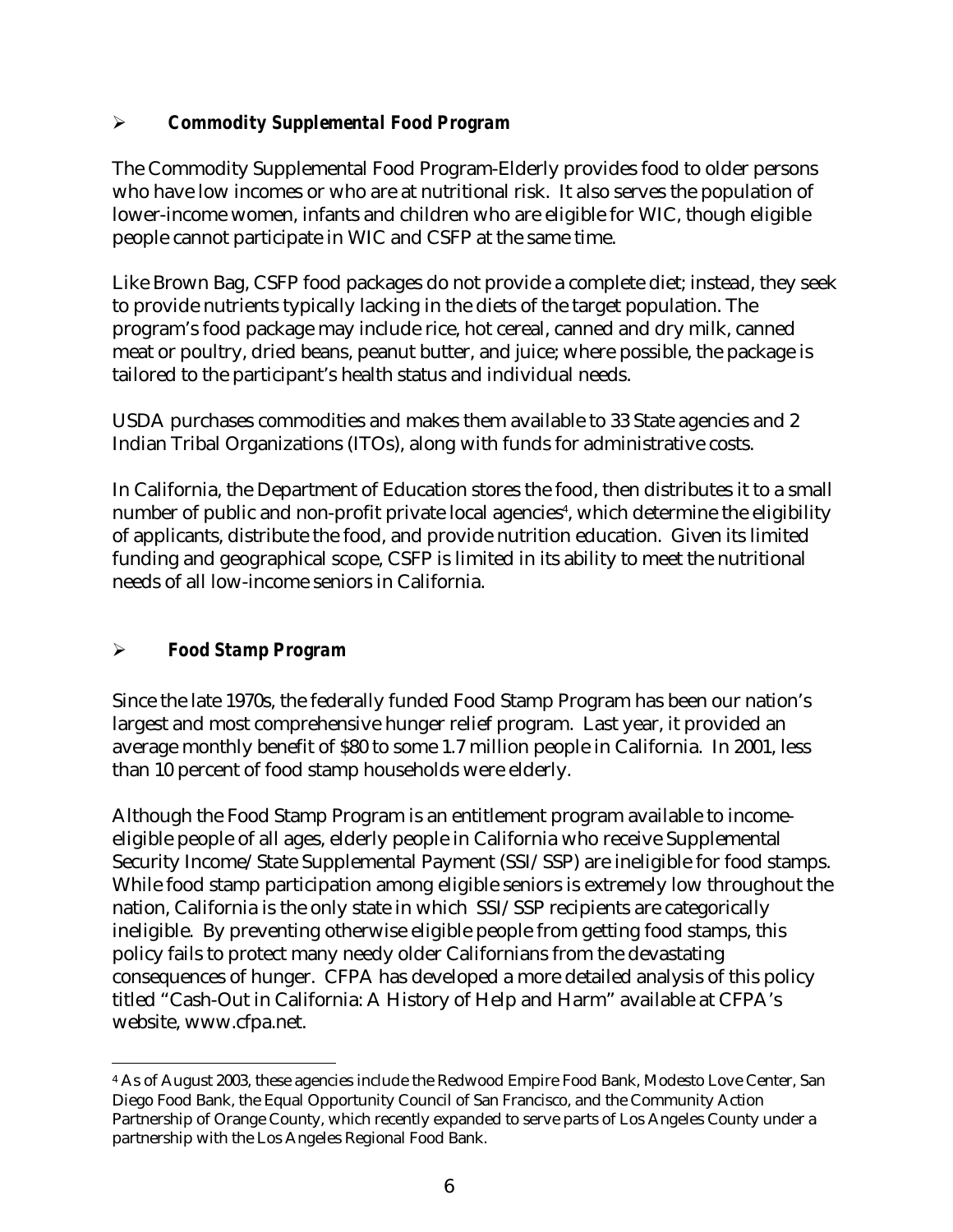#### !" *Commodity Supplemental Food Program*

The Commodity Supplemental Food Program-Elderly provides food to older persons who have low incomes or who are at nutritional risk. It also serves the population of lower-income women, infants and children who are eligible for WIC, though eligible people cannot participate in WIC and CSFP at the same time.

Like Brown Bag, CSFP food packages do not provide a complete diet; instead, they seek to provide nutrients typically lacking in the diets of the target population. The program's food package may include rice, hot cereal, canned and dry milk, canned meat or poultry, dried beans, peanut butter, and juice; where possible, the package is tailored to the participant's health status and individual needs.

USDA purchases commodities and makes them available to 33 State agencies and 2 Indian Tribal Organizations (ITOs), along with funds for administrative costs.

In California, the Department of Education stores the food, then distributes it to a small number of public and non-profit private local agencies<sup>4</sup>, which determine the eligibility of applicants, distribute the food, and provide nutrition education. Given its limited funding and geographical scope, CSFP is limited in its ability to meet the nutritional needs of all low-income seniors in California.

## !" *Food Stamp Program*

 $\overline{a}$ 

Since the late 1970s, the federally funded Food Stamp Program has been our nation's largest and most comprehensive hunger relief program. Last year, it provided an average monthly benefit of \$80 to some 1.7 million people in California. In 2001, less than 10 percent of food stamp households were elderly.

Although the Food Stamp Program is an entitlement program available to incomeeligible people of all ages, elderly people in California who receive Supplemental Security Income/State Supplemental Payment (SSI/SSP) are ineligible for food stamps. While food stamp participation among eligible seniors is extremely low throughout the nation, California is the only state in which SSI/SSP recipients are categorically ineligible. By preventing otherwise eligible people from getting food stamps, this policy fails to protect many needy older Californians from the devastating consequences of hunger. CFPA has developed a more detailed analysis of this policy titled "Cash-Out in California: A History of Help and Harm" available at CFPA's website, www.cfpa.net.

<sup>4</sup> As of August 2003, these agencies include the Redwood Empire Food Bank, Modesto Love Center, San Diego Food Bank, the Equal Opportunity Council of San Francisco, and the Community Action Partnership of Orange County, which recently expanded to serve parts of Los Angeles County under a partnership with the Los Angeles Regional Food Bank.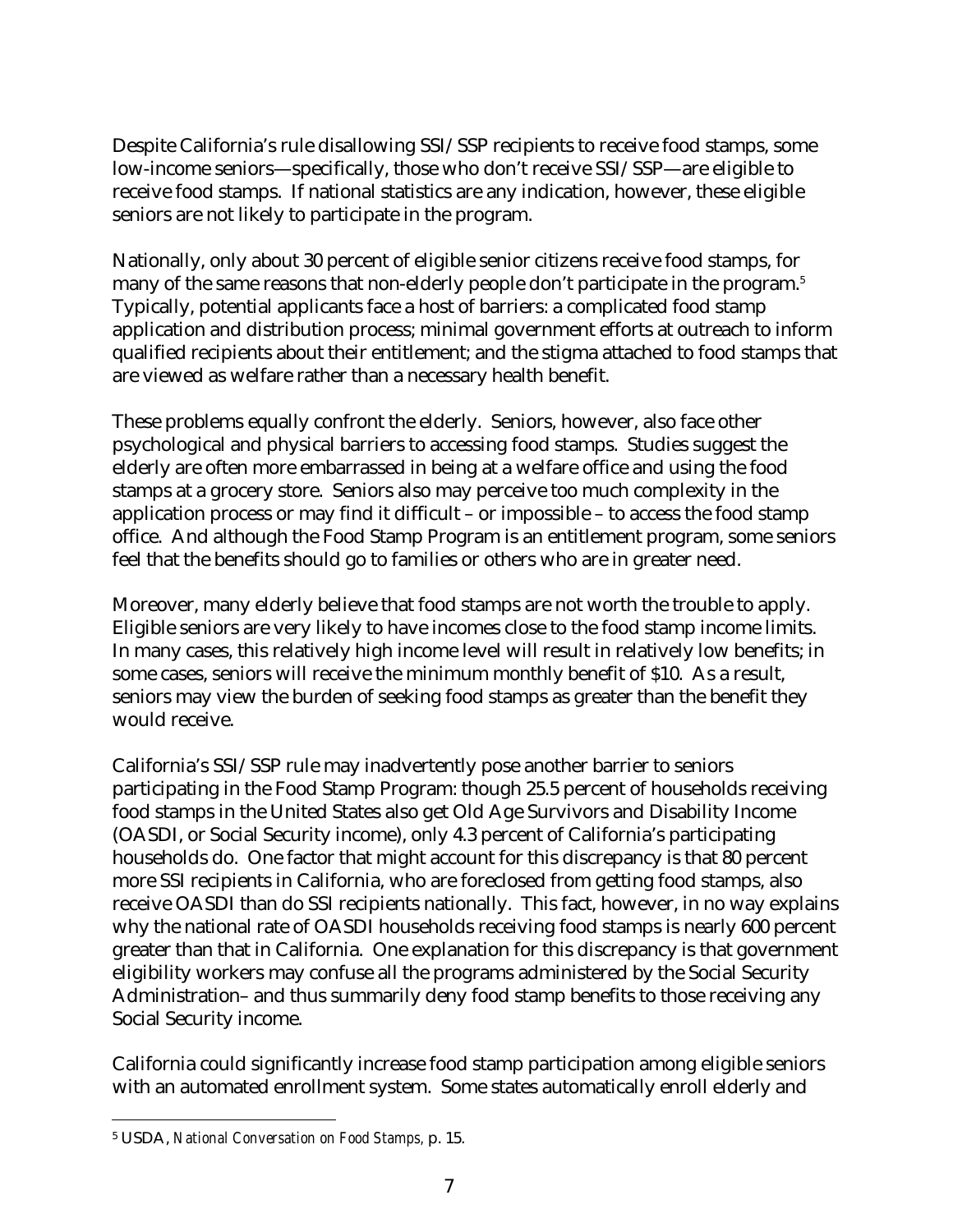Despite California's rule disallowing SSI/SSP recipients to receive food stamps, some low-income seniors—specifically, those who don't receive SSI/SSP—are eligible to receive food stamps. If national statistics are any indication, however, these eligible seniors are not likely to participate in the program.

Nationally, only about 30 percent of eligible senior citizens receive food stamps, for many of the same reasons that non-elderly people don't participate in the program.5 Typically, potential applicants face a host of barriers: a complicated food stamp application and distribution process; minimal government efforts at outreach to inform qualified recipients about their entitlement; and the stigma attached to food stamps that are viewed as welfare rather than a necessary health benefit.

These problems equally confront the elderly. Seniors, however, also face other psychological and physical barriers to accessing food stamps. Studies suggest the elderly are often more embarrassed in being at a welfare office and using the food stamps at a grocery store. Seniors also may perceive too much complexity in the application process or may find it difficult – or impossible – to access the food stamp office. And although the Food Stamp Program is an entitlement program, some seniors feel that the benefits should go to families or others who are in greater need.

Moreover, many elderly believe that food stamps are not worth the trouble to apply. Eligible seniors are very likely to have incomes close to the food stamp income limits. In many cases, this relatively high income level will result in relatively low benefits; in some cases, seniors will receive the minimum monthly benefit of \$10. As a result, seniors may view the burden of seeking food stamps as greater than the benefit they would receive.

California's SSI/SSP rule may inadvertently pose another barrier to seniors participating in the Food Stamp Program: though 25.5 percent of households receiving food stamps in the United States also get Old Age Survivors and Disability Income (OASDI, or Social Security income), only 4.3 percent of California's participating households do. One factor that might account for this discrepancy is that 80 percent more SSI recipients in California, who are foreclosed from getting food stamps, also receive OASDI than do SSI recipients nationally. This fact, however, in no way explains why the national rate of OASDI households receiving food stamps is nearly 600 percent greater than that in California. One explanation for this discrepancy is that government eligibility workers may confuse all the programs administered by the Social Security Administration– and thus summarily deny food stamp benefits to those receiving any Social Security income.

California could significantly increase food stamp participation among eligible seniors with an automated enrollment system. Some states automatically enroll elderly and

 $\overline{a}$ 5 USDA, *National Conversation on Food Stamps,* p. 15.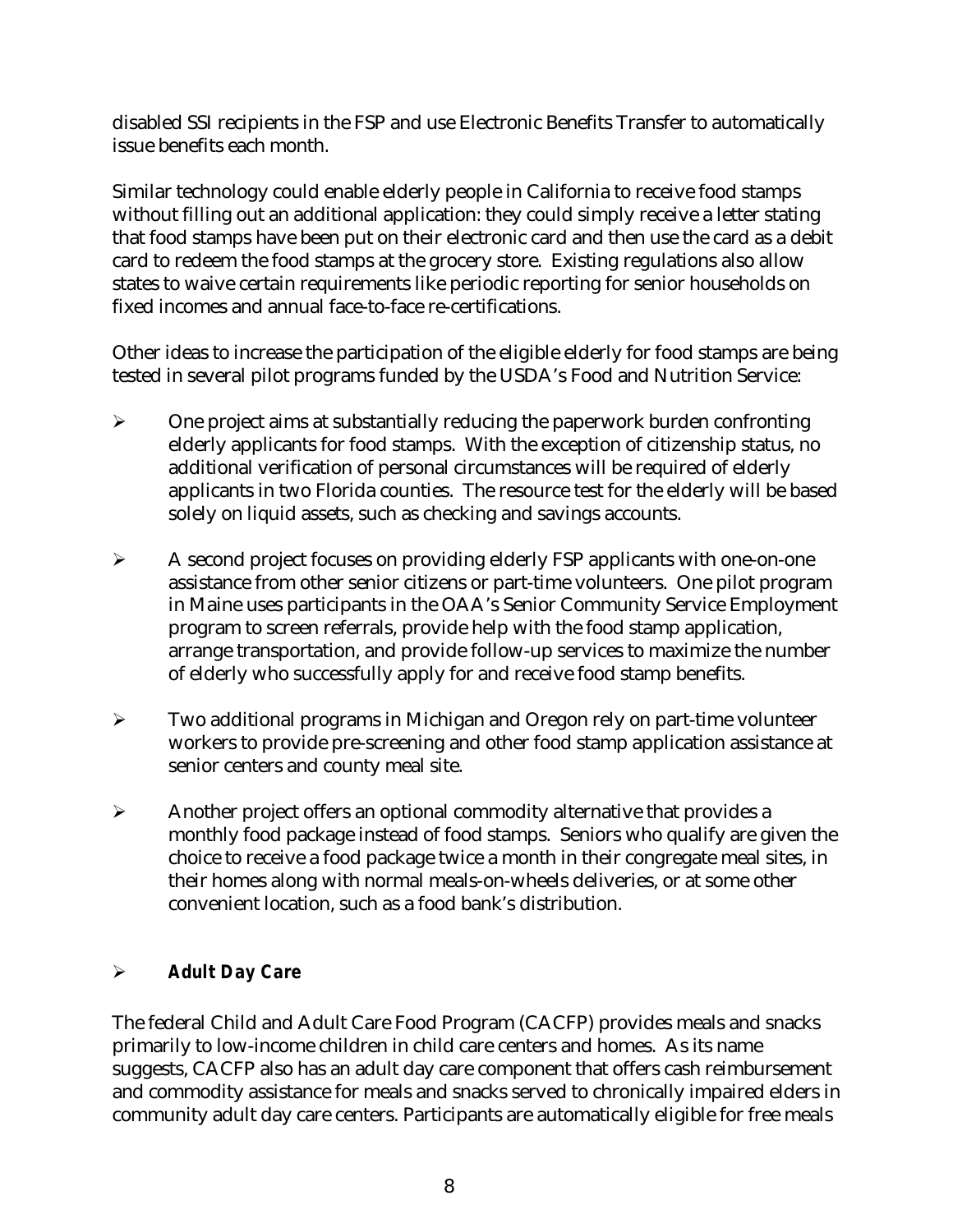disabled SSI recipients in the FSP and use Electronic Benefits Transfer to automatically issue benefits each month.

Similar technology could enable elderly people in California to receive food stamps without filling out an additional application: they could simply receive a letter stating that food stamps have been put on their electronic card and then use the card as a debit card to redeem the food stamps at the grocery store. Existing regulations also allow states to waive certain requirements like periodic reporting for senior households on fixed incomes and annual face-to-face re-certifications.

Other ideas to increase the participation of the eligible elderly for food stamps are being tested in several pilot programs funded by the USDA's Food and Nutrition Service:

- $\triangleright$  One project aims at substantially reducing the paperwork burden confronting elderly applicants for food stamps. With the exception of citizenship status, no additional verification of personal circumstances will be required of elderly applicants in two Florida counties. The resource test for the elderly will be based solely on liquid assets, such as checking and savings accounts.
- $\triangleright$  A second project focuses on providing elderly FSP applicants with one-on-one assistance from other senior citizens or part-time volunteers. One pilot program in Maine uses participants in the OAA's Senior Community Service Employment program to screen referrals, provide help with the food stamp application, arrange transportation, and provide follow-up services to maximize the number of elderly who successfully apply for and receive food stamp benefits.
- $\triangleright$  Two additional programs in Michigan and Oregon rely on part-time volunteer workers to provide pre-screening and other food stamp application assistance at senior centers and county meal site.
- $\triangleright$  Another project offers an optional commodity alternative that provides a monthly food package instead of food stamps. Seniors who qualify are given the choice to receive a food package twice a month in their congregate meal sites, in their homes along with normal meals-on-wheels deliveries, or at some other convenient location, such as a food bank's distribution.

## !" *Adult Day Care*

The federal Child and Adult Care Food Program (CACFP) provides meals and snacks primarily to low-income children in child care centers and homes. As its name suggests, CACFP also has an adult day care component that offers cash reimbursement and commodity assistance for meals and snacks served to chronically impaired elders in community adult day care centers. Participants are automatically eligible for free meals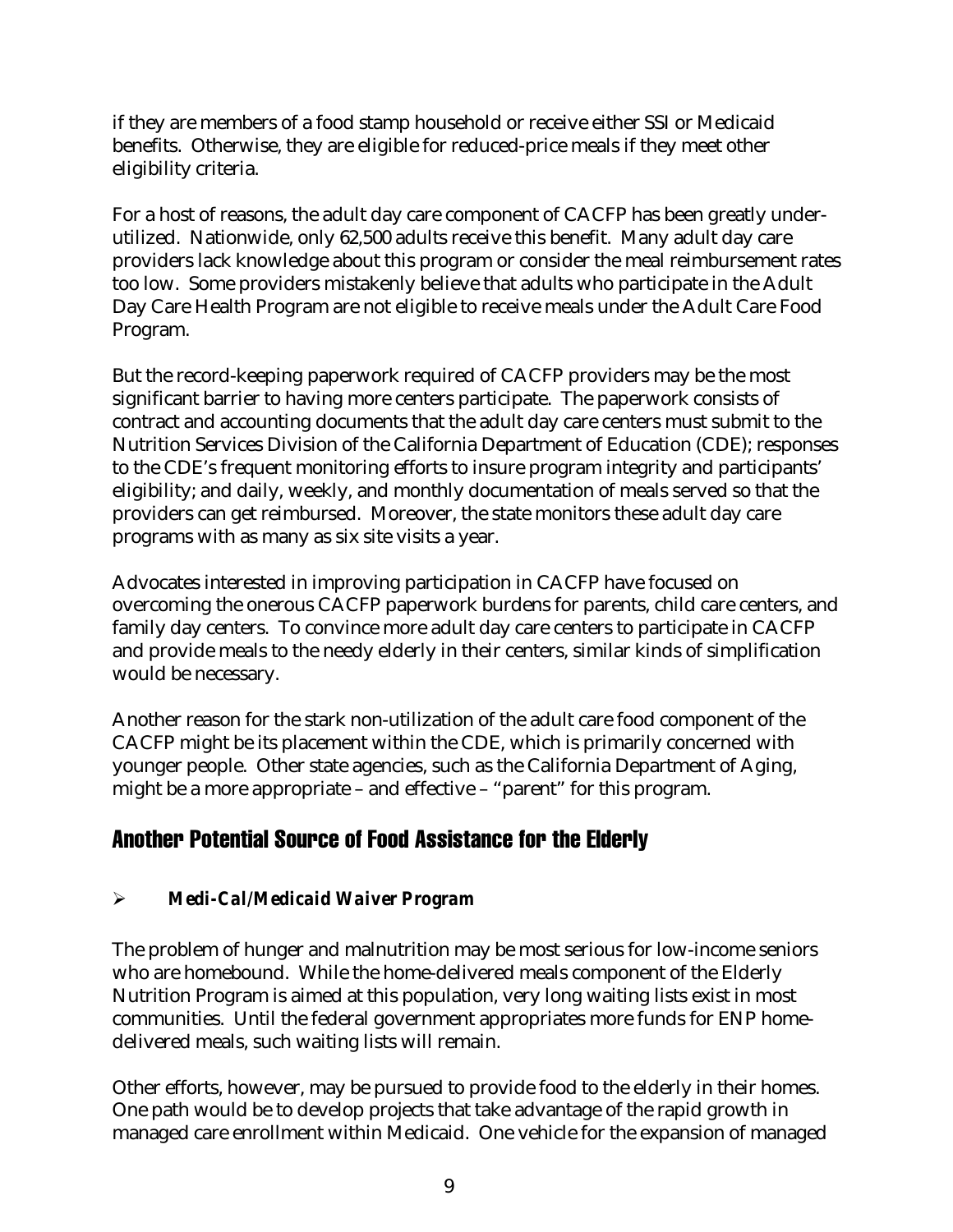if they are members of a food stamp household or receive either SSI or Medicaid benefits. Otherwise, they are eligible for reduced-price meals if they meet other eligibility criteria.

For a host of reasons, the adult day care component of CACFP has been greatly underutilized. Nationwide, only 62,500 adults receive this benefit. Many adult day care providers lack knowledge about this program or consider the meal reimbursement rates too low. Some providers mistakenly believe that adults who participate in the Adult Day Care Health Program are not eligible to receive meals under the Adult Care Food Program.

But the record-keeping paperwork required of CACFP providers may be the most significant barrier to having more centers participate. The paperwork consists of contract and accounting documents that the adult day care centers must submit to the Nutrition Services Division of the California Department of Education (CDE); responses to the CDE's frequent monitoring efforts to insure program integrity and participants' eligibility; and daily, weekly, and monthly documentation of meals served so that the providers can get reimbursed. Moreover, the state monitors these adult day care programs with as many as six site visits a year.

Advocates interested in improving participation in CACFP have focused on overcoming the onerous CACFP paperwork burdens for parents, child care centers, and family day centers. To convince more adult day care centers to participate in CACFP and provide meals to the needy elderly in their centers, similar kinds of simplification would be necessary.

Another reason for the stark non-utilization of the adult care food component of the CACFP might be its placement within the CDE, which is primarily concerned with younger people. Other state agencies, such as the California Department of Aging, might be a more appropriate – and effective – "parent" for this program.

# Another Potential Source of Food Assistance for the Elderly

# !" *Medi-Cal/Medicaid Waiver Program*

The problem of hunger and malnutrition may be most serious for low-income seniors who are homebound. While the home-delivered meals component of the Elderly Nutrition Program is aimed at this population, very long waiting lists exist in most communities. Until the federal government appropriates more funds for ENP homedelivered meals, such waiting lists will remain.

Other efforts, however, may be pursued to provide food to the elderly in their homes. One path would be to develop projects that take advantage of the rapid growth in managed care enrollment within Medicaid. One vehicle for the expansion of managed